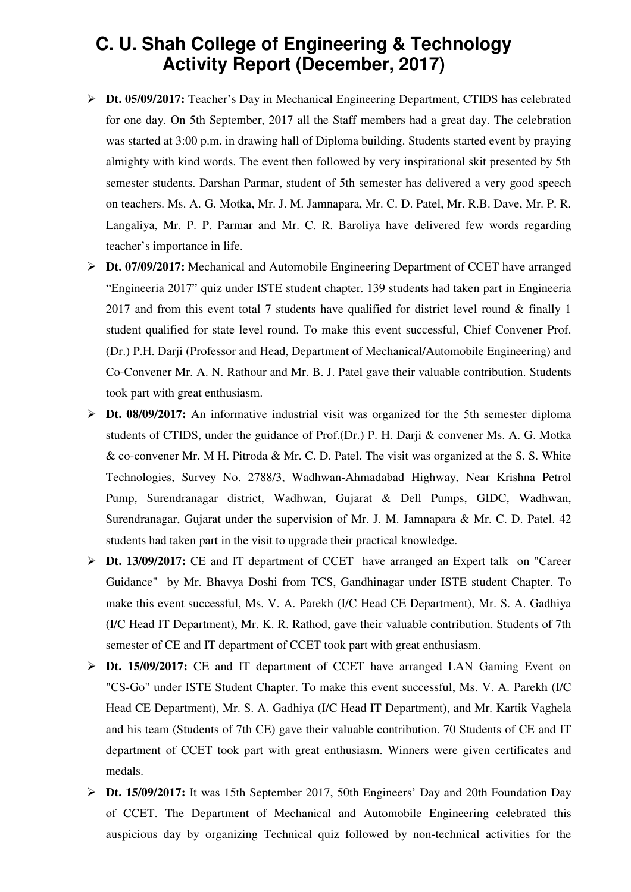## **C. U. Shah College of Engineering & Technology Activity Report (December, 2017)**

- **Dt. 05/09/2017:** Teacher's Day in Mechanical Engineering Department, CTIDS has celebrated for one day. On 5th September, 2017 all the Staff members had a great day. The celebration was started at 3:00 p.m. in drawing hall of Diploma building. Students started event by praying almighty with kind words. The event then followed by very inspirational skit presented by 5th semester students. Darshan Parmar, student of 5th semester has delivered a very good speech on teachers. Ms. A. G. Motka, Mr. J. M. Jamnapara, Mr. C. D. Patel, Mr. R.B. Dave, Mr. P. R. Langaliya, Mr. P. P. Parmar and Mr. C. R. Baroliya have delivered few words regarding teacher's importance in life.
- **Dt. 07/09/2017:** Mechanical and Automobile Engineering Department of CCET have arranged "Engineeria 2017" quiz under ISTE student chapter. 139 students had taken part in Engineeria 2017 and from this event total 7 students have qualified for district level round & finally 1 student qualified for state level round. To make this event successful, Chief Convener Prof. (Dr.) P.H. Darji (Professor and Head, Department of Mechanical/Automobile Engineering) and Co-Convener Mr. A. N. Rathour and Mr. B. J. Patel gave their valuable contribution. Students took part with great enthusiasm.
- **Dt. 08/09/2017:** An informative industrial visit was organized for the 5th semester diploma students of CTIDS, under the guidance of Prof.(Dr.) P. H. Darji & convener Ms. A. G. Motka & co-convener Mr. M H. Pitroda & Mr. C. D. Patel. The visit was organized at the S. S. White Technologies, Survey No. 2788/3, Wadhwan-Ahmadabad Highway, Near Krishna Petrol Pump, Surendranagar district, Wadhwan, Gujarat & Dell Pumps, GIDC, Wadhwan, Surendranagar, Gujarat under the supervision of Mr. J. M. Jamnapara & Mr. C. D. Patel. 42 students had taken part in the visit to upgrade their practical knowledge.
- **Dt. 13/09/2017:** CE and IT department of CCET have arranged an Expert talk on "Career Guidance" by Mr. Bhavya Doshi from TCS, Gandhinagar under ISTE student Chapter. To make this event successful, Ms. V. A. Parekh (I/C Head CE Department), Mr. S. A. Gadhiya (I/C Head IT Department), Mr. K. R. Rathod, gave their valuable contribution. Students of 7th semester of CE and IT department of CCET took part with great enthusiasm.
- **Dt. 15/09/2017:** CE and IT department of CCET have arranged LAN Gaming Event on "CS-Go" under ISTE Student Chapter. To make this event successful, Ms. V. A. Parekh (I/C Head CE Department), Mr. S. A. Gadhiya (I/C Head IT Department), and Mr. Kartik Vaghela and his team (Students of 7th CE) gave their valuable contribution. 70 Students of CE and IT department of CCET took part with great enthusiasm. Winners were given certificates and medals.
- **Dt. 15/09/2017:** It was 15th September 2017, 50th Engineers' Day and 20th Foundation Day of CCET. The Department of Mechanical and Automobile Engineering celebrated this auspicious day by organizing Technical quiz followed by non-technical activities for the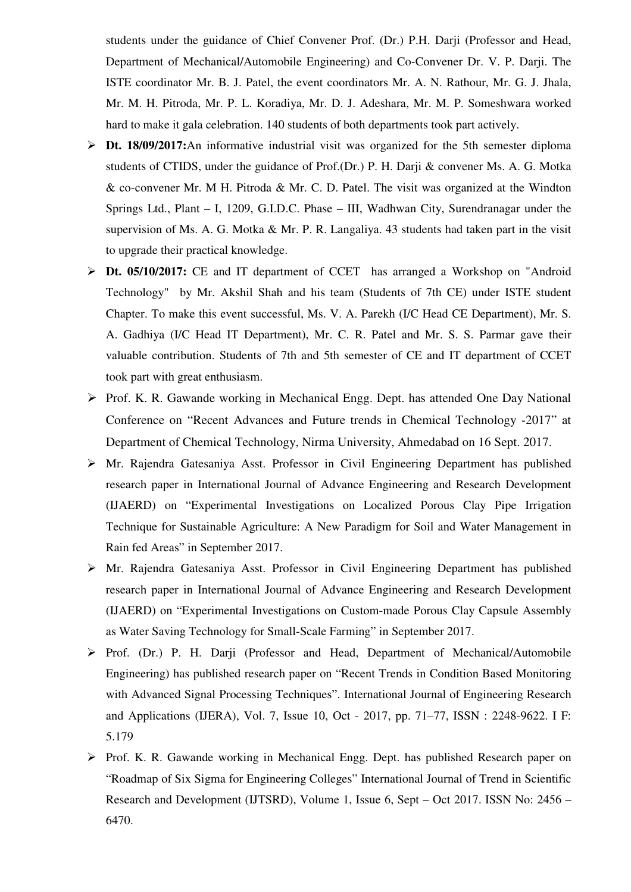students under the guidance of Chief Convener Prof. (Dr.) P.H. Darji (Professor and Head, Department of Mechanical/Automobile Engineering) and Co-Convener Dr. V. P. Darji. The ISTE coordinator Mr. B. J. Patel, the event coordinators Mr. A. N. Rathour, Mr. G. J. Jhala, Mr. M. H. Pitroda, Mr. P. L. Koradiya, Mr. D. J. Adeshara, Mr. M. P. Someshwara worked hard to make it gala celebration. 140 students of both departments took part actively.

- **Dt. 18/09/2017:**An informative industrial visit was organized for the 5th semester diploma students of CTIDS, under the guidance of Prof.(Dr.) P. H. Darji & convener Ms. A. G. Motka & co-convener Mr. M H. Pitroda & Mr. C. D. Patel. The visit was organized at the Windton Springs Ltd., Plant – I, 1209, G.I.D.C. Phase – III, Wadhwan City, Surendranagar under the supervision of Ms. A. G. Motka & Mr. P. R. Langaliya. 43 students had taken part in the visit to upgrade their practical knowledge.
- **Dt. 05/10/2017:** CE and IT department of CCET has arranged a Workshop on "Android Technology" by Mr. Akshil Shah and his team (Students of 7th CE) under ISTE student Chapter. To make this event successful, Ms. V. A. Parekh (I/C Head CE Department), Mr. S. A. Gadhiya (I/C Head IT Department), Mr. C. R. Patel and Mr. S. S. Parmar gave their valuable contribution. Students of 7th and 5th semester of CE and IT department of CCET took part with great enthusiasm.
- Prof. K. R. Gawande working in Mechanical Engg. Dept. has attended One Day National Conference on "Recent Advances and Future trends in Chemical Technology -2017" at Department of Chemical Technology, Nirma University, Ahmedabad on 16 Sept. 2017.
- $\triangleright$  Mr. Rajendra Gatesaniya Asst. Professor in Civil Engineering Department has published research paper in International Journal of Advance Engineering and Research Development (IJAERD) on "Experimental Investigations on Localized Porous Clay Pipe Irrigation Technique for Sustainable Agriculture: A New Paradigm for Soil and Water Management in Rain fed Areas" in September 2017.
- Mr. Rajendra Gatesaniya Asst. Professor in Civil Engineering Department has published research paper in International Journal of Advance Engineering and Research Development (IJAERD) on "Experimental Investigations on Custom-made Porous Clay Capsule Assembly as Water Saving Technology for Small-Scale Farming" in September 2017.
- Prof. (Dr.) P. H. Darji (Professor and Head, Department of Mechanical/Automobile Engineering) has published research paper on "Recent Trends in Condition Based Monitoring with Advanced Signal Processing Techniques". International Journal of Engineering Research and Applications (IJERA), Vol. 7, Issue 10, Oct - 2017, pp. 71–77, ISSN : 2248-9622. I F: 5.179
- ▶ Prof. K. R. Gawande working in Mechanical Engg. Dept. has published Research paper on "Roadmap of Six Sigma for Engineering Colleges" International Journal of Trend in Scientific Research and Development (IJTSRD), Volume 1, Issue 6, Sept – Oct 2017. ISSN No: 2456 – 6470.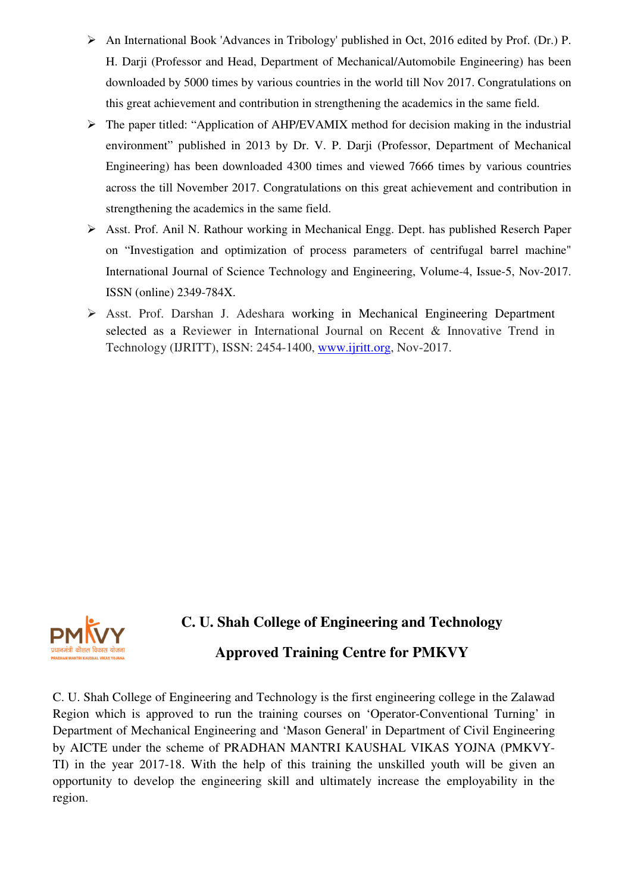- An International Book 'Advances in Tribology' published in Oct, 2016 edited by Prof. (Dr.) P. H. Darji (Professor and Head, Department of Mechanical/Automobile Engineering) has been downloaded by 5000 times by various countries in the world till Nov 2017. Congratulations on this great achievement and contribution in strengthening the academics in the same field.
- $\triangleright$  The paper titled: "Application of AHP/EVAMIX method for decision making in the industrial environment" published in 2013 by Dr. V. P. Darji (Professor, Department of Mechanical Engineering) has been downloaded 4300 times and viewed 7666 times by various countries across the till November 2017. Congratulations on this great achievement and contribution in strengthening the academics in the same field.
- Asst. Prof. Anil N. Rathour working in Mechanical Engg. Dept. has published Reserch Paper on "Investigation and optimization of process parameters of centrifugal barrel machine" International Journal of Science Technology and Engineering, Volume-4, Issue-5, Nov-2017. ISSN (online) 2349-784X.
- Asst. Prof. Darshan J. Adeshara working in Mechanical Engineering Department selected as a Reviewer in International Journal on Recent & Innovative Trend in Technology (IJRITT), ISSN: 2454-1400, www.ijritt.org, Nov-2017.



## **C. U. Shah College of Engineering and Technology**

## **Approved Training Centre for PMKVY**

C. U. Shah College of Engineering and Technology is the first engineering college in the Zalawad Region which is approved to run the training courses on 'Operator-Conventional Turning' in Department of Mechanical Engineering and 'Mason General' in Department of Civil Engineering by AICTE under the scheme of PRADHAN MANTRI KAUSHAL VIKAS YOJNA (PMKVY-TI) in the year 2017-18. With the help of this training the unskilled youth will be given an opportunity to develop the engineering skill and ultimately increase the employability in the region.